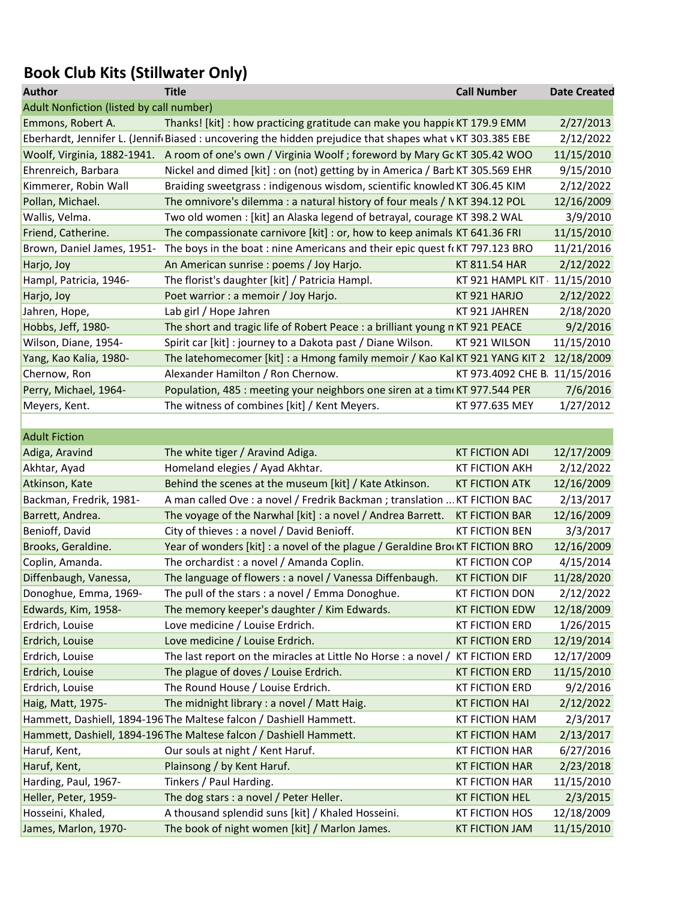## Book Club Kits (Stillwater Only)

| <b>Author</b>                            | <b>Title</b>                                                                                            | <b>Call Number</b>            | <b>Date Created</b> |
|------------------------------------------|---------------------------------------------------------------------------------------------------------|-------------------------------|---------------------|
| Adult Nonfiction (listed by call number) |                                                                                                         |                               |                     |
| Emmons, Robert A.                        | Thanks! [kit] : how practicing gratitude can make you happic KT 179.9 EMM                               |                               | 2/27/2013           |
|                                          | Eberhardt, Jennifer L. (Jennif Biased: uncovering the hidden prejudice that shapes what vKT 303.385 EBE |                               | 2/12/2022           |
|                                          | Woolf, Virginia, 1882-1941. A room of one's own / Virginia Woolf; foreword by Mary Gc KT 305.42 WOO     |                               | 11/15/2010          |
| Ehrenreich, Barbara                      | Nickel and dimed [kit] : on (not) getting by in America / Barb KT 305.569 EHR                           |                               | 9/15/2010           |
| Kimmerer, Robin Wall                     | Braiding sweetgrass: indigenous wisdom, scientific knowled KT 306.45 KIM                                |                               | 2/12/2022           |
| Pollan, Michael.                         | The omnivore's dilemma : a natural history of four meals / NKT 394.12 POL                               |                               | 12/16/2009          |
| Wallis, Velma.                           | Two old women: [kit] an Alaska legend of betrayal, courage KT 398.2 WAL                                 |                               | 3/9/2010            |
| Friend, Catherine.                       | The compassionate carnivore [kit] : or, how to keep animals KT 641.36 FRI                               |                               | 11/15/2010          |
| Brown, Daniel James, 1951-               | The boys in the boat: nine Americans and their epic quest f(KT 797.123 BRO                              |                               | 11/21/2016          |
| Harjo, Joy                               | An American sunrise : poems / Joy Harjo.                                                                | KT 811.54 HAR                 | 2/12/2022           |
| Hampl, Patricia, 1946-                   | The florist's daughter [kit] / Patricia Hampl.                                                          | KT 921 HAMPL KIT 11/15/2010   |                     |
| Harjo, Joy                               | Poet warrior : a memoir / Joy Harjo.                                                                    | KT921 HARJO                   | 2/12/2022           |
| Jahren, Hope,                            | Lab girl / Hope Jahren                                                                                  | KT 921 JAHREN                 | 2/18/2020           |
| Hobbs, Jeff, 1980-                       | The short and tragic life of Robert Peace : a brilliant young n KT 921 PEACE                            |                               | 9/2/2016            |
| Wilson, Diane, 1954-                     | Spirit car [kit] : journey to a Dakota past / Diane Wilson.                                             | KT 921 WILSON                 | 11/15/2010          |
| Yang, Kao Kalia, 1980-                   | The latehomecomer [kit] : a Hmong family memoir / Kao Kal KT 921 YANG KIT 2                             |                               | 12/18/2009          |
| Chernow, Ron                             | Alexander Hamilton / Ron Chernow.                                                                       | KT 973.4092 CHE B. 11/15/2016 |                     |
| Perry, Michael, 1964-                    | Population, 485 : meeting your neighbors one siren at a tim KT 977.544 PER                              |                               | 7/6/2016            |
| Meyers, Kent.                            | The witness of combines [kit] / Kent Meyers.                                                            | KT 977.635 MEY                | 1/27/2012           |
|                                          |                                                                                                         |                               |                     |
| <b>Adult Fiction</b>                     |                                                                                                         |                               |                     |
| Adiga, Aravind                           | The white tiger / Aravind Adiga.                                                                        | <b>KT FICTION ADI</b>         | 12/17/2009          |
| Akhtar, Ayad                             | Homeland elegies / Ayad Akhtar.                                                                         | <b>KT FICTION AKH</b>         | 2/12/2022           |
| Atkinson, Kate                           | Behind the scenes at the museum [kit] / Kate Atkinson.                                                  | <b>KT FICTION ATK</b>         | 12/16/2009          |
| Backman, Fredrik, 1981-                  | A man called Ove : a novel / Fredrik Backman ; translation  KT FICTION BAC                              |                               | 2/13/2017           |
| Barrett, Andrea.                         | The voyage of the Narwhal [kit] : a novel / Andrea Barrett. KT FICTION BAR                              |                               | 12/16/2009          |
| Benioff, David                           | City of thieves : a novel / David Benioff.                                                              | <b>KT FICTION BEN</b>         | 3/3/2017            |
| Brooks, Geraldine.                       | Year of wonders [kit] : a novel of the plague / Geraldine Bro(KT FICTION BRO                            |                               | 12/16/2009          |
| Coplin, Amanda.                          | The orchardist : a novel / Amanda Coplin.                                                               | <b>KT FICTION COP</b>         | 4/15/2014           |
| Diffenbaugh, Vanessa,                    | The language of flowers : a novel / Vanessa Diffenbaugh.                                                | <b>KT FICTION DIF</b>         | 11/28/2020          |
| Donoghue, Emma, 1969-                    | The pull of the stars : a novel / Emma Donoghue.                                                        | <b>KT FICTION DON</b>         | 2/12/2022           |
| Edwards, Kim, 1958-                      | The memory keeper's daughter / Kim Edwards.                                                             | <b>KT FICTION EDW</b>         | 12/18/2009          |
| Erdrich, Louise                          | Love medicine / Louise Erdrich.                                                                         | <b>KT FICTION ERD</b>         | 1/26/2015           |
| Erdrich, Louise                          | Love medicine / Louise Erdrich.                                                                         | <b>KT FICTION ERD</b>         | 12/19/2014          |
| Erdrich, Louise                          | The last report on the miracles at Little No Horse : a novel / KT FICTION ERD                           |                               | 12/17/2009          |
| Erdrich, Louise                          | The plague of doves / Louise Erdrich.                                                                   | <b>KT FICTION ERD</b>         | 11/15/2010          |
| Erdrich, Louise                          | The Round House / Louise Erdrich.                                                                       | <b>KT FICTION ERD</b>         | 9/2/2016            |
| Haig, Matt, 1975-                        | The midnight library : a novel / Matt Haig.                                                             | <b>KT FICTION HAI</b>         | 2/12/2022           |
|                                          | Hammett, Dashiell, 1894-196 The Maltese falcon / Dashiell Hammett.                                      | <b>KT FICTION HAM</b>         | 2/3/2017            |
|                                          | Hammett, Dashiell, 1894-196 The Maltese falcon / Dashiell Hammett.                                      | <b>KT FICTION HAM</b>         | 2/13/2017           |
| Haruf, Kent,                             | Our souls at night / Kent Haruf.                                                                        | <b>KT FICTION HAR</b>         | 6/27/2016           |
| Haruf, Kent,                             | Plainsong / by Kent Haruf.                                                                              | <b>KT FICTION HAR</b>         | 2/23/2018           |
|                                          | Tinkers / Paul Harding.                                                                                 | <b>KT FICTION HAR</b>         | 11/15/2010          |
| Harding, Paul, 1967-                     |                                                                                                         |                               |                     |
| Heller, Peter, 1959-                     | The dog stars : a novel / Peter Heller.                                                                 | <b>KT FICTION HEL</b>         | 2/3/2015            |
| Hosseini, Khaled,                        | A thousand splendid suns [kit] / Khaled Hosseini.                                                       | <b>KT FICTION HOS</b>         | 12/18/2009          |
| James, Marlon, 1970-                     | The book of night women [kit] / Marlon James.                                                           | <b>KT FICTION JAM</b>         | 11/15/2010          |